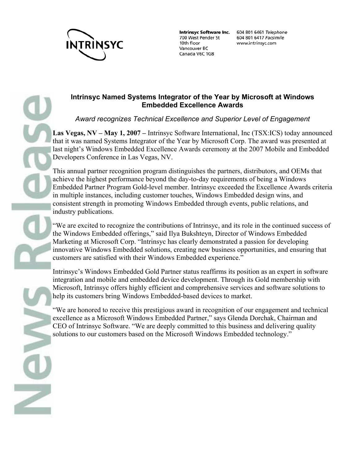

700 West Pender St 10th floor Vancouver BC Canada V6C 1G8

Intrinsyc Software Inc. 604 801 6461 Telephone 604 801 6417 Facsimile www.intrinsyc.com

## **Intrinsyc Named Systems Integrator of the Year by Microsoft at Windows Embedded Excellence Awards**

*Award recognizes Technical Excellence and Superior Level of Engagement*

**Las Vegas, NV – May 1, 2007 –** Intrinsyc Software International, Inc (TSX:ICS) today announced that it was named Systems Integrator of the Year by Microsoft Corp. The award was presented at last night's Windows Embedded Excellence Awards ceremony at the 2007 Mobile and Embedded Developers Conference in Las Vegas, NV.

This annual partner recognition program distinguishes the partners, distributors, and OEMs that achieve the highest performance beyond the day-to-day requirements of being a Windows Embedded Partner Program Gold-level member. Intrinsyc exceeded the Excellence Awards criteria in multiple instances, including customer touches, Windows Embedded design wins, and consistent strength in promoting Windows Embedded through events, public relations, and industry publications.

"We are excited to recognize the contributions of Intrinsyc, and its role in the continued success of the Windows Embedded offerings," said Ilya Bukshteyn, Director of Windows Embedded Marketing at Microsoft Corp. "Intrinsyc has clearly demonstrated a passion for developing innovative Windows Embedded solutions, creating new business opportunities, and ensuring that customers are satisfied with their Windows Embedded experience."

Intrinsyc's Windows Embedded Gold Partner status reaffirms its position as an expert in software integration and mobile and embedded device development. Through its Gold membership with Microsoft, Intrinsyc offers highly efficient and comprehensive services and software solutions to help its customers bring Windows Embedded-based devices to market.

"We are honored to receive this prestigious award in recognition of our engagement and technical excellence as a Microsoft Windows Embedded Partner," says Glenda Dorchak, Chairman and CEO of Intrinsyc Software. "We are deeply committed to this business and delivering quality solutions to our customers based on the Microsoft Windows Embedded technology."